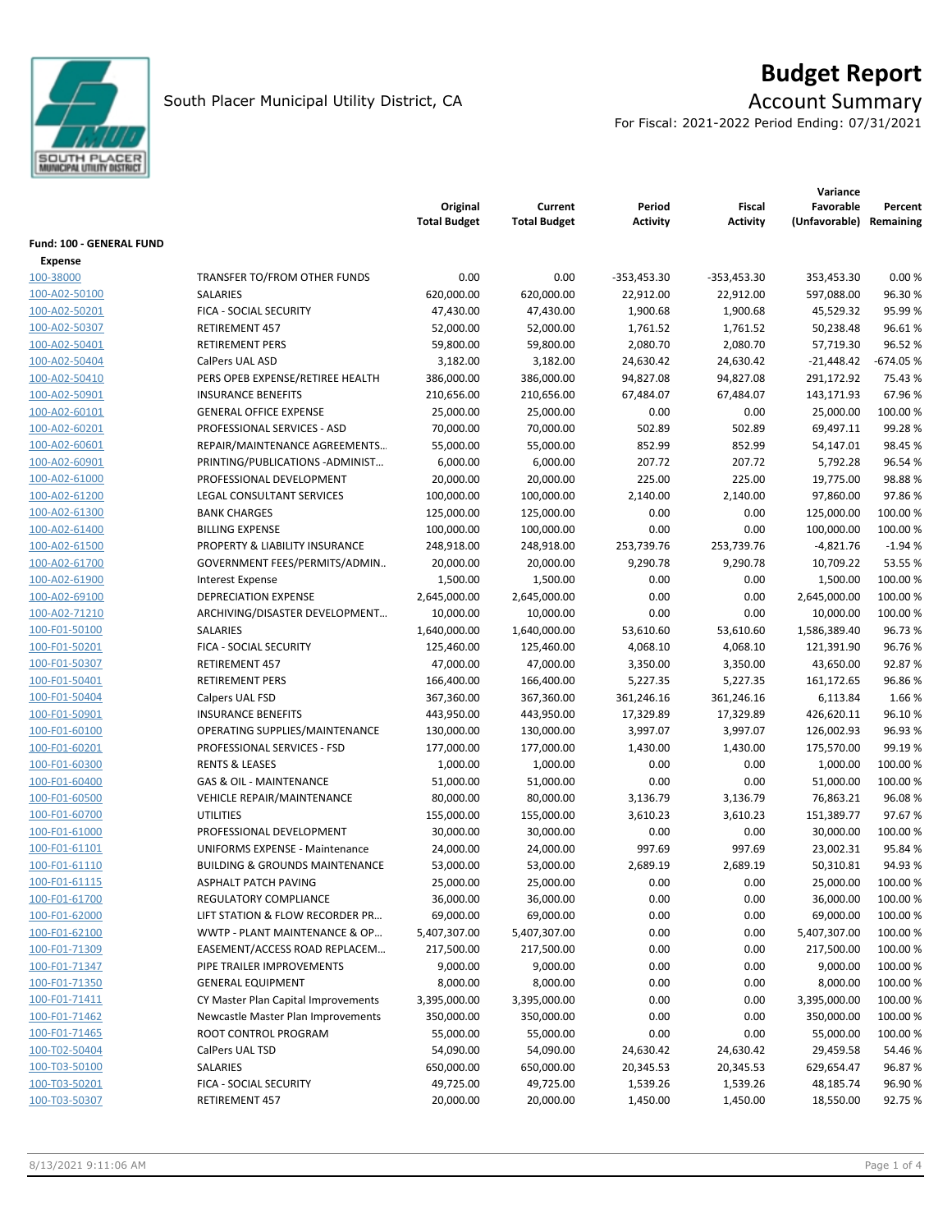

# **Budget Report**

For Fiscal: 2021-2022 Period Ending: 07/31/2021

|                          |                                           |                                 |                                |                    |                           | Variance                   |                      |  |  |
|--------------------------|-------------------------------------------|---------------------------------|--------------------------------|--------------------|---------------------------|----------------------------|----------------------|--|--|
|                          |                                           | Original<br><b>Total Budget</b> | Current<br><b>Total Budget</b> | Period<br>Activity | Fiscal<br><b>Activity</b> | Favorable<br>(Unfavorable) | Percent<br>Remaining |  |  |
| Fund: 100 - GENERAL FUND |                                           |                                 |                                |                    |                           |                            |                      |  |  |
| Expense<br>100-38000     | TRANSFER TO/FROM OTHER FUNDS              | 0.00                            | 0.00                           | -353,453.30        | $-353,453.30$             | 353,453.30                 | 0.00%                |  |  |
| 100-A02-50100            | SALARIES                                  | 620,000.00                      | 620,000.00                     | 22,912.00          | 22,912.00                 | 597,088.00                 | 96.30%               |  |  |
| 100-A02-50201            | FICA - SOCIAL SECURITY                    | 47,430.00                       | 47,430.00                      | 1,900.68           | 1,900.68                  | 45,529.32                  | 95.99%               |  |  |
| 100-A02-50307            | RETIREMENT 457                            | 52,000.00                       | 52,000.00                      | 1,761.52           | 1,761.52                  | 50,238.48                  | 96.61%               |  |  |
| 100-A02-50401            | <b>RETIREMENT PERS</b>                    | 59,800.00                       | 59,800.00                      | 2,080.70           | 2,080.70                  | 57,719.30                  | 96.52%               |  |  |
| 100-A02-50404            | CalPers UAL ASD                           | 3,182.00                        | 3,182.00                       | 24,630.42          | 24,630.42                 | $-21,448.42$               | $-674.05%$           |  |  |
| 100-A02-50410            | PERS OPEB EXPENSE/RETIREE HEALTH          | 386,000.00                      | 386,000.00                     | 94,827.08          | 94,827.08                 | 291,172.92                 | 75.43 %              |  |  |
| 100-A02-50901            | <b>INSURANCE BENEFITS</b>                 | 210,656.00                      | 210,656.00                     | 67,484.07          | 67,484.07                 | 143,171.93                 | 67.96%               |  |  |
| 100-A02-60101            | <b>GENERAL OFFICE EXPENSE</b>             | 25,000.00                       | 25,000.00                      | 0.00               | 0.00                      | 25,000.00                  | 100.00 %             |  |  |
| 100-A02-60201            | PROFESSIONAL SERVICES - ASD               | 70,000.00                       | 70,000.00                      | 502.89             | 502.89                    | 69,497.11                  | 99.28%               |  |  |
| 100-A02-60601            | REPAIR/MAINTENANCE AGREEMENTS             | 55,000.00                       | 55,000.00                      | 852.99             | 852.99                    | 54,147.01                  | 98.45%               |  |  |
| 100-A02-60901            | PRINTING/PUBLICATIONS-ADMINIST            | 6,000.00                        | 6,000.00                       | 207.72             | 207.72                    | 5,792.28                   | 96.54%               |  |  |
| 100-A02-61000            | PROFESSIONAL DEVELOPMENT                  | 20,000.00                       | 20,000.00                      | 225.00             | 225.00                    | 19,775.00                  | 98.88%               |  |  |
| 100-A02-61200            | LEGAL CONSULTANT SERVICES                 | 100,000.00                      | 100,000.00                     | 2,140.00           | 2,140.00                  | 97,860.00                  | 97.86%               |  |  |
| 100-A02-61300            | <b>BANK CHARGES</b>                       | 125,000.00                      | 125,000.00                     | 0.00               | 0.00                      | 125,000.00                 | 100.00 %             |  |  |
| 100-A02-61400            | <b>BILLING EXPENSE</b>                    | 100,000.00                      | 100,000.00                     | 0.00               | 0.00                      | 100,000.00                 | 100.00%              |  |  |
| 100-A02-61500            | PROPERTY & LIABILITY INSURANCE            | 248,918.00                      | 248,918.00                     | 253,739.76         | 253,739.76                | $-4,821.76$                | $-1.94%$             |  |  |
| 100-A02-61700            | GOVERNMENT FEES/PERMITS/ADMIN             | 20,000.00                       | 20,000.00                      | 9,290.78           | 9,290.78                  | 10,709.22                  | 53.55 %              |  |  |
| 100-A02-61900            | <b>Interest Expense</b>                   | 1,500.00                        | 1,500.00                       | 0.00               | 0.00                      | 1,500.00                   | 100.00%              |  |  |
| 100-A02-69100            | <b>DEPRECIATION EXPENSE</b>               | 2,645,000.00                    | 2,645,000.00                   | 0.00               | 0.00                      | 2,645,000.00               | 100.00%              |  |  |
| 100-A02-71210            | ARCHIVING/DISASTER DEVELOPMENT            | 10,000.00                       | 10,000.00                      | 0.00               | 0.00                      | 10,000.00                  | 100.00 %             |  |  |
| 100-F01-50100            | SALARIES                                  | 1,640,000.00                    | 1,640,000.00                   | 53,610.60          | 53,610.60                 | 1,586,389.40               | 96.73%               |  |  |
| 100-F01-50201            | FICA - SOCIAL SECURITY                    | 125,460.00                      | 125,460.00                     | 4,068.10           | 4,068.10                  | 121,391.90                 | 96.76%               |  |  |
| 100-F01-50307            | RETIREMENT 457                            | 47,000.00                       | 47,000.00                      | 3,350.00           | 3,350.00                  | 43,650.00                  | 92.87%               |  |  |
| 100-F01-50401            | <b>RETIREMENT PERS</b>                    | 166,400.00                      | 166,400.00                     | 5,227.35           | 5,227.35                  | 161,172.65                 | 96.86%               |  |  |
| 100-F01-50404            | Calpers UAL FSD                           | 367,360.00                      | 367,360.00                     | 361,246.16         | 361,246.16                | 6,113.84                   | 1.66%                |  |  |
| 100-F01-50901            | <b>INSURANCE BENEFITS</b>                 | 443,950.00                      | 443,950.00                     | 17,329.89          | 17,329.89                 | 426,620.11                 | 96.10%               |  |  |
| 100-F01-60100            | OPERATING SUPPLIES/MAINTENANCE            | 130,000.00                      | 130,000.00                     | 3,997.07           | 3,997.07                  | 126,002.93                 | 96.93%               |  |  |
| 100-F01-60201            | PROFESSIONAL SERVICES - FSD               | 177,000.00                      | 177,000.00                     | 1,430.00           | 1,430.00                  | 175,570.00                 | 99.19%               |  |  |
| 100-F01-60300            | <b>RENTS &amp; LEASES</b>                 | 1,000.00                        | 1,000.00                       | 0.00               | 0.00                      | 1,000.00                   | 100.00%              |  |  |
| 100-F01-60400            | <b>GAS &amp; OIL - MAINTENANCE</b>        | 51,000.00                       | 51,000.00                      | 0.00               | 0.00                      | 51,000.00                  | 100.00%              |  |  |
| 100-F01-60500            | <b>VEHICLE REPAIR/MAINTENANCE</b>         | 80,000.00                       | 80,000.00                      | 3,136.79           | 3,136.79                  | 76,863.21                  | 96.08%               |  |  |
| 100-F01-60700            | <b>UTILITIES</b>                          | 155,000.00                      | 155,000.00                     | 3,610.23           | 3,610.23                  | 151,389.77                 | 97.67%               |  |  |
| 100-F01-61000            | PROFESSIONAL DEVELOPMENT                  | 30,000.00                       | 30,000.00                      | 0.00               | 0.00                      | 30,000.00                  | 100.00 %             |  |  |
| 100-F01-61101            | <b>UNIFORMS EXPENSE - Maintenance</b>     | 24,000.00                       | 24,000.00                      | 997.69             | 997.69                    | 23,002.31                  | 95.84 %              |  |  |
| 100-F01-61110            | <b>BUILDING &amp; GROUNDS MAINTENANCE</b> | 53,000.00                       | 53,000.00                      | 2,689.19           | 2,689.19                  | 50,310.81                  | 94.93%               |  |  |
| 100-F01-61115            | ASPHALT PATCH PAVING                      | 25,000.00                       | 25,000.00                      | 0.00               | 0.00                      | 25,000.00                  | 100.00%              |  |  |
| 100-F01-61700            | REGULATORY COMPLIANCE                     | 36,000.00                       | 36,000.00                      | 0.00               | 0.00                      | 36,000.00                  | 100.00 %             |  |  |
| 100-F01-62000            | LIFT STATION & FLOW RECORDER PR           | 69,000.00                       | 69,000.00                      | 0.00               | 0.00                      | 69,000.00                  | 100.00%              |  |  |
| 100-F01-62100            | WWTP - PLANT MAINTENANCE & OP             | 5,407,307.00                    | 5,407,307.00                   | 0.00               | 0.00                      | 5,407,307.00               | 100.00%              |  |  |
| 100-F01-71309            | EASEMENT/ACCESS ROAD REPLACEM             | 217,500.00                      | 217,500.00                     | 0.00               | 0.00                      | 217,500.00                 | 100.00%              |  |  |
| 100-F01-71347            | PIPE TRAILER IMPROVEMENTS                 | 9,000.00                        | 9,000.00                       | 0.00               | 0.00                      | 9,000.00                   | 100.00 %             |  |  |
| 100-F01-71350            | <b>GENERAL EQUIPMENT</b>                  | 8,000.00                        | 8,000.00                       | 0.00               | 0.00                      | 8,000.00                   | 100.00 %             |  |  |
| 100-F01-71411            | CY Master Plan Capital Improvements       | 3,395,000.00                    | 3,395,000.00                   | 0.00               | 0.00                      | 3,395,000.00               | 100.00%              |  |  |
| 100-F01-71462            | Newcastle Master Plan Improvements        | 350,000.00                      | 350,000.00                     | 0.00               | 0.00                      | 350,000.00                 | 100.00%              |  |  |
| 100-F01-71465            | ROOT CONTROL PROGRAM                      | 55,000.00                       | 55,000.00                      | 0.00               | 0.00                      | 55,000.00                  | 100.00%              |  |  |
| 100-T02-50404            | CalPers UAL TSD                           | 54,090.00                       | 54,090.00                      | 24,630.42          | 24,630.42                 | 29,459.58                  | 54.46%               |  |  |
| 100-T03-50100            | SALARIES                                  | 650,000.00                      | 650,000.00                     | 20,345.53          | 20,345.53                 | 629,654.47                 | 96.87%               |  |  |
| 100-T03-50201            | FICA - SOCIAL SECURITY                    | 49,725.00                       | 49,725.00                      | 1,539.26           | 1,539.26                  | 48,185.74                  | 96.90%               |  |  |
| 100-T03-50307            | RETIREMENT 457                            | 20,000.00                       | 20,000.00                      | 1,450.00           | 1,450.00                  | 18,550.00                  | 92.75%               |  |  |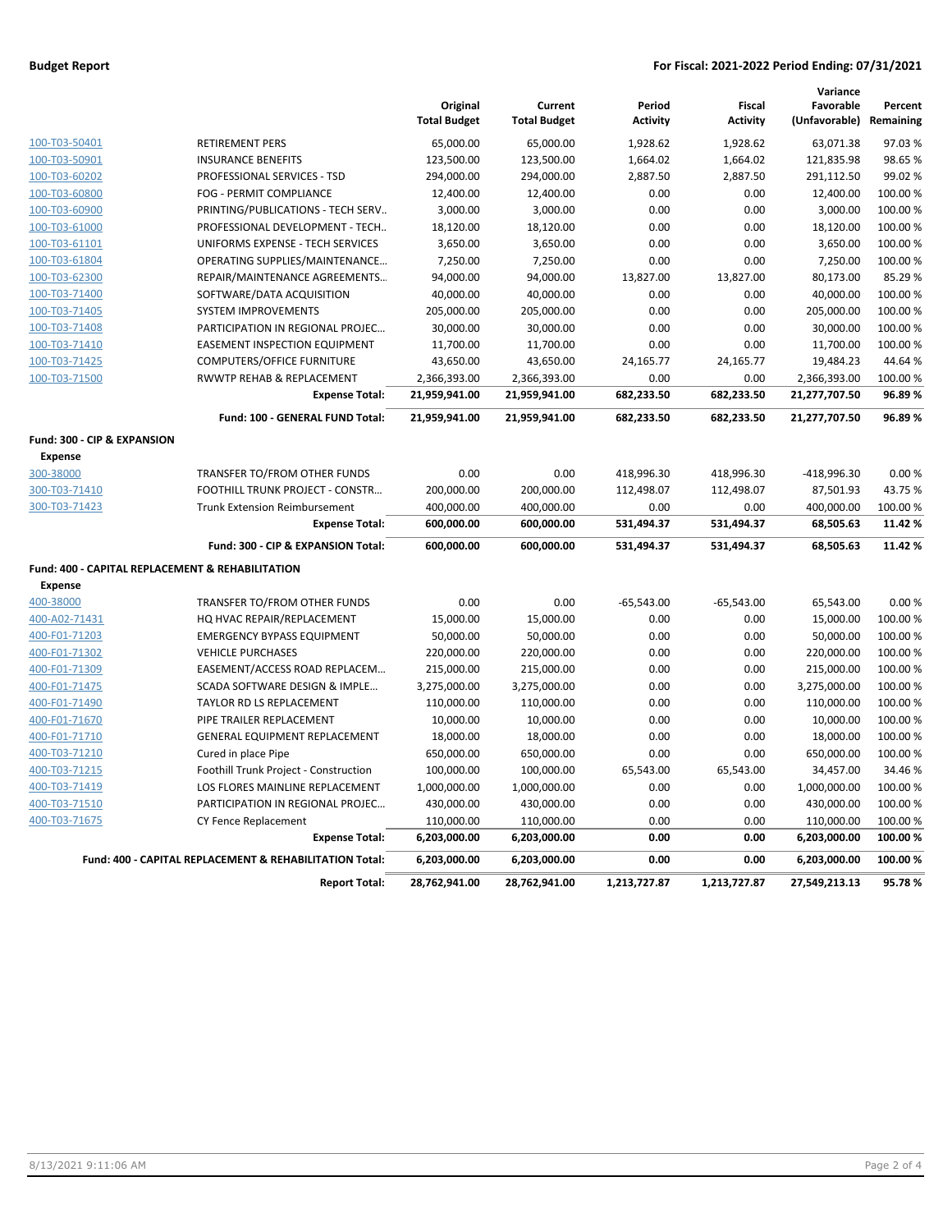### **Budget Report For Fiscal: 2021-2022 Period Ending: 07/31/2021**

|                                                  |                                                         |                                 |                                |                           |                                  | Variance                             |          |
|--------------------------------------------------|---------------------------------------------------------|---------------------------------|--------------------------------|---------------------------|----------------------------------|--------------------------------------|----------|
|                                                  |                                                         | Original<br><b>Total Budget</b> | Current<br><b>Total Budget</b> | Period<br><b>Activity</b> | <b>Fiscal</b><br><b>Activity</b> | Favorable<br>(Unfavorable) Remaining | Percent  |
| 100-T03-50401                                    | <b>RETIREMENT PERS</b>                                  | 65,000.00                       | 65,000.00                      | 1,928.62                  | 1,928.62                         | 63,071.38                            | 97.03%   |
| 100-T03-50901                                    | <b>INSURANCE BENEFITS</b>                               | 123,500.00                      | 123,500.00                     | 1,664.02                  | 1,664.02                         | 121,835.98                           | 98.65%   |
| 100-T03-60202                                    | PROFESSIONAL SERVICES - TSD                             | 294,000.00                      | 294,000.00                     | 2,887.50                  | 2,887.50                         | 291,112.50                           | 99.02%   |
| 100-T03-60800                                    | FOG - PERMIT COMPLIANCE                                 | 12,400.00                       | 12,400.00                      | 0.00                      | 0.00                             | 12,400.00                            | 100.00%  |
| 100-T03-60900                                    | PRINTING/PUBLICATIONS - TECH SERV                       | 3,000.00                        | 3,000.00                       | 0.00                      | 0.00                             | 3,000.00                             | 100.00%  |
| 100-T03-61000                                    | PROFESSIONAL DEVELOPMENT - TECH                         | 18,120.00                       | 18,120.00                      | 0.00                      | 0.00                             | 18,120.00                            | 100.00%  |
| 100-T03-61101                                    | UNIFORMS EXPENSE - TECH SERVICES                        | 3,650.00                        | 3,650.00                       | 0.00                      | 0.00                             | 3,650.00                             | 100.00 % |
| 100-T03-61804                                    | OPERATING SUPPLIES/MAINTENANCE                          | 7,250.00                        | 7,250.00                       | 0.00                      | 0.00                             | 7,250.00                             | 100.00%  |
| 100-T03-62300                                    | REPAIR/MAINTENANCE AGREEMENTS                           | 94,000.00                       | 94,000.00                      | 13,827.00                 | 13,827.00                        | 80,173.00                            | 85.29%   |
| 100-T03-71400                                    | SOFTWARE/DATA ACQUISITION                               | 40,000.00                       | 40,000.00                      | 0.00                      | 0.00                             | 40,000.00                            | 100.00%  |
| 100-T03-71405                                    | <b>SYSTEM IMPROVEMENTS</b>                              | 205,000.00                      | 205,000.00                     | 0.00                      | 0.00                             | 205,000.00                           | 100.00%  |
| 100-T03-71408                                    | PARTICIPATION IN REGIONAL PROJEC                        | 30,000.00                       | 30,000.00                      | 0.00                      | 0.00                             | 30,000.00                            | 100.00%  |
| 100-T03-71410                                    | <b>EASEMENT INSPECTION EQUIPMENT</b>                    | 11,700.00                       | 11,700.00                      | 0.00                      | 0.00                             | 11,700.00                            | 100.00%  |
| 100-T03-71425                                    | <b>COMPUTERS/OFFICE FURNITURE</b>                       | 43,650.00                       | 43,650.00                      | 24,165.77                 | 24,165.77                        | 19,484.23                            | 44.64%   |
| 100-T03-71500                                    | RWWTP REHAB & REPLACEMENT                               | 2,366,393.00                    | 2,366,393.00                   | 0.00                      | 0.00                             | 2,366,393.00                         | 100.00%  |
|                                                  | <b>Expense Total:</b>                                   | 21,959,941.00                   | 21,959,941.00                  | 682,233.50                | 682,233.50                       | 21,277,707.50                        | 96.89%   |
|                                                  | Fund: 100 - GENERAL FUND Total:                         | 21,959,941.00                   | 21,959,941.00                  | 682,233.50                | 682,233.50                       | 21,277,707.50                        | 96.89%   |
| Fund: 300 - CIP & EXPANSION                      |                                                         |                                 |                                |                           |                                  |                                      |          |
| <b>Expense</b>                                   |                                                         |                                 |                                |                           |                                  |                                      |          |
| 300-38000                                        | TRANSFER TO/FROM OTHER FUNDS                            | 0.00                            | 0.00                           | 418,996.30                | 418,996.30                       | $-418,996.30$                        | 0.00%    |
| 300-T03-71410                                    | FOOTHILL TRUNK PROJECT - CONSTR                         | 200,000.00                      | 200,000.00                     | 112,498.07                | 112,498.07                       | 87,501.93                            | 43.75%   |
| 300-T03-71423                                    | <b>Trunk Extension Reimbursement</b>                    | 400,000.00                      | 400,000.00                     | 0.00                      | 0.00                             | 400,000.00                           | 100.00%  |
|                                                  | <b>Expense Total:</b>                                   | 600,000.00                      | 600,000.00                     | 531,494.37                | 531,494.37                       | 68,505.63                            | 11.42%   |
|                                                  | Fund: 300 - CIP & EXPANSION Total:                      | 600,000.00                      | 600,000.00                     | 531,494.37                | 531,494.37                       | 68,505.63                            | 11.42%   |
| Fund: 400 - CAPITAL REPLACEMENT & REHABILITATION |                                                         |                                 |                                |                           |                                  |                                      |          |
| <b>Expense</b>                                   |                                                         |                                 |                                |                           |                                  |                                      |          |
| 400-38000                                        | TRANSFER TO/FROM OTHER FUNDS                            | 0.00                            | 0.00                           | $-65,543.00$              | $-65,543.00$                     | 65,543.00                            | 0.00%    |
| 400-A02-71431                                    | HQ HVAC REPAIR/REPLACEMENT                              | 15,000.00                       | 15,000.00                      | 0.00                      | 0.00                             | 15,000.00                            | 100.00%  |
| 400-F01-71203                                    | <b>EMERGENCY BYPASS EQUIPMENT</b>                       | 50,000.00                       | 50,000.00                      | 0.00                      | 0.00                             | 50,000.00                            | 100.00 % |
| 400-F01-71302                                    | <b>VEHICLE PURCHASES</b>                                | 220,000.00                      | 220,000.00                     | 0.00                      | 0.00                             | 220,000.00                           | 100.00 % |
| 400-F01-71309                                    | EASEMENT/ACCESS ROAD REPLACEM                           | 215,000.00                      | 215,000.00                     | 0.00                      | 0.00                             | 215,000.00                           | 100.00%  |
| 400-F01-71475                                    | SCADA SOFTWARE DESIGN & IMPLE                           | 3,275,000.00                    | 3,275,000.00                   | 0.00                      | 0.00                             | 3,275,000.00                         | 100.00%  |
| 400-F01-71490                                    | TAYLOR RD LS REPLACEMENT                                | 110,000.00                      | 110,000.00                     | 0.00                      | 0.00                             | 110,000.00                           | 100.00%  |
| 400-F01-71670                                    | PIPE TRAILER REPLACEMENT                                | 10,000.00                       | 10,000.00                      | 0.00                      | 0.00                             | 10,000.00                            | 100.00%  |
| 400-F01-71710                                    | <b>GENERAL EQUIPMENT REPLACEMENT</b>                    | 18,000.00                       | 18,000.00                      | 0.00                      | 0.00                             | 18,000.00                            | 100.00%  |
| 400-T03-71210                                    | Cured in place Pipe                                     | 650,000.00                      | 650,000.00                     | 0.00                      | 0.00                             | 650,000.00                           | 100.00%  |
| 400-T03-71215                                    | Foothill Trunk Project - Construction                   | 100,000.00                      | 100,000.00                     | 65,543.00                 | 65,543.00                        | 34,457.00                            | 34.46%   |
| 400-T03-71419                                    | LOS FLORES MAINLINE REPLACEMENT                         | 1,000,000.00                    | 1,000,000.00                   | 0.00                      | 0.00                             | 1,000,000.00                         | 100.00%  |
| 400-T03-71510                                    | PARTICIPATION IN REGIONAL PROJEC                        | 430,000.00                      | 430,000.00                     | 0.00                      | 0.00                             | 430,000.00                           | 100.00%  |
| 400-T03-71675                                    | CY Fence Replacement                                    | 110,000.00                      | 110,000.00                     | 0.00                      | 0.00                             | 110,000.00                           | 100.00%  |
|                                                  | <b>Expense Total:</b>                                   | 6,203,000.00                    | 6,203,000.00                   | 0.00                      | 0.00                             | 6,203,000.00                         | 100.00%  |
|                                                  | Fund: 400 - CAPITAL REPLACEMENT & REHABILITATION Total: | 6,203,000.00                    | 6,203,000.00                   | 0.00                      | 0.00                             | 6,203,000.00                         | 100.00%  |
|                                                  | <b>Report Total:</b>                                    | 28,762,941.00                   | 28,762,941.00                  | 1,213,727.87              | 1,213,727.87                     | 27,549,213.13                        | 95.78%   |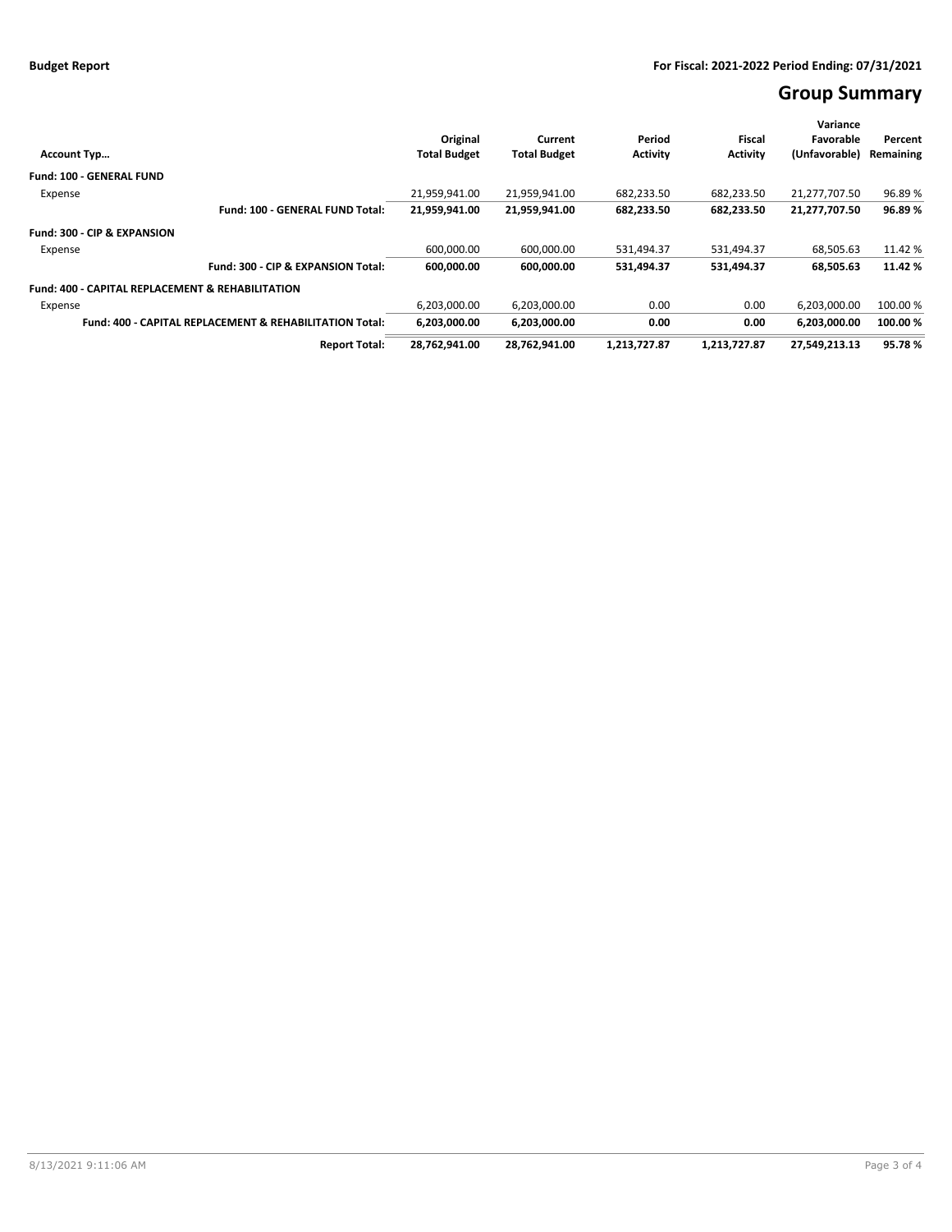# **Group Summary**

|                                                                    |                     |                     |                 |                 | Variance      |           |
|--------------------------------------------------------------------|---------------------|---------------------|-----------------|-----------------|---------------|-----------|
|                                                                    | Original            | Current             | Period          | Fiscal          | Favorable     | Percent   |
| <b>Account Typ</b>                                                 | <b>Total Budget</b> | <b>Total Budget</b> | <b>Activity</b> | <b>Activity</b> | (Unfavorable) | Remaining |
| <b>Fund: 100 - GENERAL FUND</b>                                    |                     |                     |                 |                 |               |           |
| Expense                                                            | 21.959.941.00       | 21.959.941.00       | 682.233.50      | 682.233.50      | 21.277.707.50 | 96.89%    |
| Fund: 100 - GENERAL FUND Total:                                    | 21,959,941.00       | 21,959,941.00       | 682,233.50      | 682,233.50      | 21,277,707.50 | 96.89%    |
| Fund: 300 - CIP & EXPANSION                                        |                     |                     |                 |                 |               |           |
| Expense                                                            | 600,000.00          | 600,000.00          | 531,494.37      | 531,494.37      | 68,505.63     | 11.42 %   |
| Fund: 300 - CIP & EXPANSION Total:                                 | 600,000.00          | 600,000.00          | 531,494.37      | 531.494.37      | 68,505.63     | 11.42%    |
| <b>Fund: 400 - CAPITAL REPLACEMENT &amp; REHABILITATION</b>        |                     |                     |                 |                 |               |           |
| Expense                                                            | 6,203,000.00        | 6,203,000.00        | 0.00            | 0.00            | 6,203,000.00  | 100.00 %  |
| <b>Fund: 400 - CAPITAL REPLACEMENT &amp; REHABILITATION Total:</b> | 6,203,000.00        | 6,203,000.00        | 0.00            | 0.00            | 6,203,000.00  | 100.00%   |
| <b>Report Total:</b>                                               | 28,762,941.00       | 28,762,941.00       | 1,213,727.87    | 1,213,727.87    | 27.549.213.13 | 95.78%    |
|                                                                    |                     |                     |                 |                 |               |           |